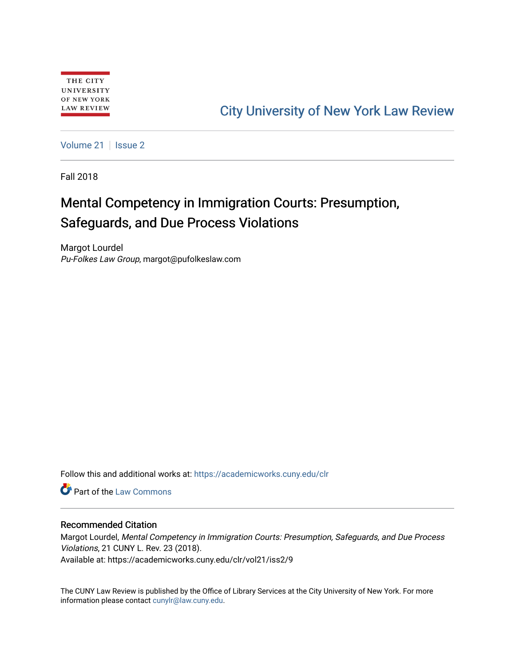# [City University of New York Law Review](https://academicworks.cuny.edu/clr)

[Volume 21](https://academicworks.cuny.edu/clr/vol21) | [Issue 2](https://academicworks.cuny.edu/clr/vol21/iss2)

Fall 2018

# Mental Competency in Immigration Courts: Presumption, Safeguards, and Due Process Violations

Margot Lourdel Pu-Folkes Law Group, margot@pufolkeslaw.com

Follow this and additional works at: [https://academicworks.cuny.edu/clr](https://academicworks.cuny.edu/clr?utm_source=academicworks.cuny.edu%2Fclr%2Fvol21%2Fiss2%2F9&utm_medium=PDF&utm_campaign=PDFCoverPages) 

Part of the [Law Commons](http://network.bepress.com/hgg/discipline/578?utm_source=academicworks.cuny.edu%2Fclr%2Fvol21%2Fiss2%2F9&utm_medium=PDF&utm_campaign=PDFCoverPages)

## Recommended Citation

Margot Lourdel, Mental Competency in Immigration Courts: Presumption, Safeguards, and Due Process Violations, 21 CUNY L. Rev. 23 (2018). Available at: https://academicworks.cuny.edu/clr/vol21/iss2/9

The CUNY Law Review is published by the Office of Library Services at the City University of New York. For more information please contact [cunylr@law.cuny.edu](mailto:cunylr@law.cuny.edu).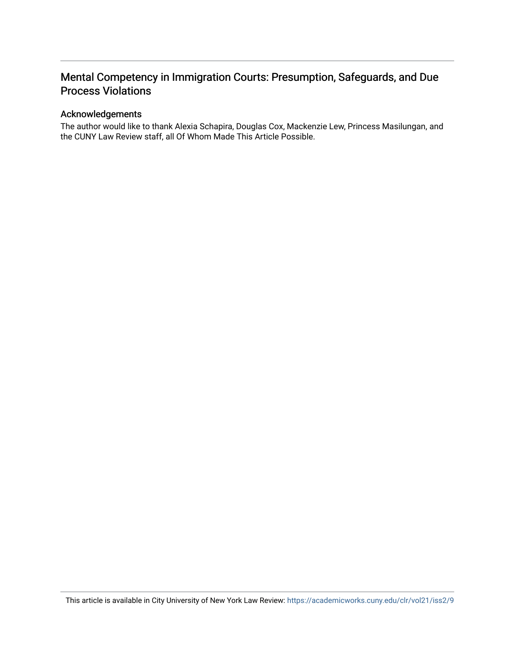# Mental Competency in Immigration Courts: Presumption, Safeguards, and Due Process Violations

## Acknowledgements

The author would like to thank Alexia Schapira, Douglas Cox, Mackenzie Lew, Princess Masilungan, and the CUNY Law Review staff, all Of Whom Made This Article Possible.

This article is available in City University of New York Law Review: <https://academicworks.cuny.edu/clr/vol21/iss2/9>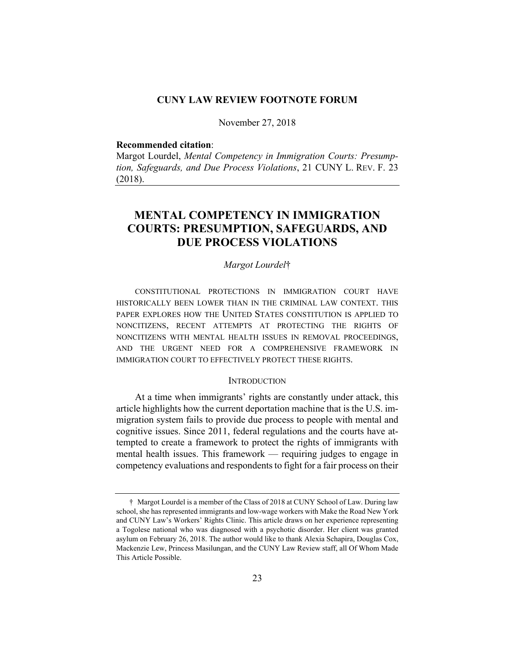#### **CUNY LAW REVIEW FOOTNOTE FORUM**

November 27, 2018

#### **Recommended citation**:

Margot Lourdel, *Mental Competency in Immigration Courts: Presumption, Safeguards, and Due Process Violations*, 21 CUNY L. REV. F. 23 (2018).

# **MENTAL COMPETENCY IN IMMIGRATION COURTS: PRESUMPTION, SAFEGUARDS, AND DUE PROCESS VIOLATIONS**

### *Margot Lourdel*†

CONSTITUTIONAL PROTECTIONS IN IMMIGRATION COURT HAVE HISTORICALLY BEEN LOWER THAN IN THE CRIMINAL LAW CONTEXT. THIS PAPER EXPLORES HOW THE UNITED STATES CONSTITUTION IS APPLIED TO NONCITIZENS, RECENT ATTEMPTS AT PROTECTING THE RIGHTS OF NONCITIZENS WITH MENTAL HEALTH ISSUES IN REMOVAL PROCEEDINGS, AND THE URGENT NEED FOR A COMPREHENSIVE FRAMEWORK IN IMMIGRATION COURT TO EFFECTIVELY PROTECT THESE RIGHTS.

#### **INTRODUCTION**

At a time when immigrants' rights are constantly under attack, this article highlights how the current deportation machine that is the U.S. immigration system fails to provide due process to people with mental and cognitive issues. Since 2011, federal regulations and the courts have attempted to create a framework to protect the rights of immigrants with mental health issues. This framework — requiring judges to engage in competency evaluations and respondents to fight for a fair process on their

 <sup>†</sup> Margot Lourdel is a member of the Class of 2018 at CUNY School of Law. During law school, she has represented immigrants and low-wage workers with Make the Road New York and CUNY Law's Workers' Rights Clinic. This article draws on her experience representing a Togolese national who was diagnosed with a psychotic disorder. Her client was granted asylum on February 26, 2018. The author would like to thank Alexia Schapira, Douglas Cox, Mackenzie Lew, Princess Masilungan, and the CUNY Law Review staff, all Of Whom Made This Article Possible.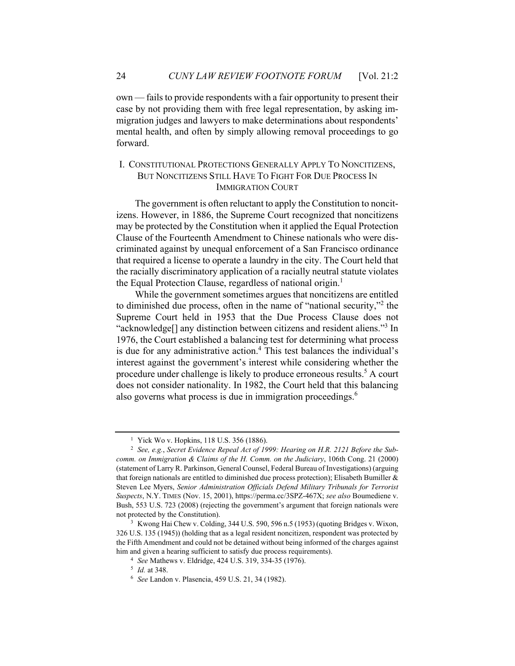own — fails to provide respondents with a fair opportunity to present their case by not providing them with free legal representation, by asking immigration judges and lawyers to make determinations about respondents' mental health, and often by simply allowing removal proceedings to go forward.

# I. CONSTITUTIONAL PROTECTIONS GENERALLY APPLY TO NONCITIZENS, BUT NONCITIZENS STILL HAVE TO FIGHT FOR DUE PROCESS IN IMMIGRATION COURT

The government is often reluctant to apply the Constitution to noncitizens. However, in 1886, the Supreme Court recognized that noncitizens may be protected by the Constitution when it applied the Equal Protection Clause of the Fourteenth Amendment to Chinese nationals who were discriminated against by unequal enforcement of a San Francisco ordinance that required a license to operate a laundry in the city. The Court held that the racially discriminatory application of a racially neutral statute violates the Equal Protection Clause, regardless of national origin.<sup>1</sup>

While the government sometimes argues that noncitizens are entitled to diminished due process, often in the name of "national security,"2 the Supreme Court held in 1953 that the Due Process Clause does not "acknowledge<sup>[]</sup> any distinction between citizens and resident aliens."<sup>3</sup> In 1976, the Court established a balancing test for determining what process is due for any administrative action.<sup>4</sup> This test balances the individual's interest against the government's interest while considering whether the procedure under challenge is likely to produce erroneous results.<sup>5</sup> A court does not consider nationality. In 1982, the Court held that this balancing also governs what process is due in immigration proceedings. $<sup>6</sup>$ </sup>

<sup>&</sup>lt;sup>1</sup> Yick Wo v. Hopkins, 118 U.S. 356 (1886).

<sup>2</sup> *See, e.g.*, *Secret Evidence Repeal Act of 1999: Hearing on H.R. 2121 Before the Subcomm. on Immigration & Claims of the H. Comm. on the Judiciary*, 106th Cong. 21 (2000) (statement of Larry R. Parkinson, General Counsel, Federal Bureau of Investigations) (arguing that foreign nationals are entitled to diminished due process protection); Elisabeth Bumiller & Steven Lee Myers, *Senior Administration Officials Defend Military Tribunals for Terrorist Suspects*, N.Y. TIMES (Nov. 15, 2001), https://perma.cc/3SPZ-467X; *see also* Boumediene v. Bush, 553 U.S. 723 (2008) (rejecting the government's argument that foreign nationals were not protected by the Constitution).<br><sup>3</sup> Kwong Hai Chew v. Colding, 344 U.S. 590, 596 n.5 (1953) (quoting Bridges v. Wixon,

<sup>326</sup> U.S. 135 (1945)) (holding that as a legal resident noncitizen, respondent was protected by the Fifth Amendment and could not be detained without being informed of the charges against him and given a hearing sufficient to satisfy due process requirements).<br><sup>4</sup> *See* Mathews v. Eldridge, 424 U.S. 319, 334-35 (1976).<br><sup>5</sup> *Id.* at 348.<br><sup>6</sup> *See* Landon v. Plasencia, 459 U.S. 21, 34 (1982).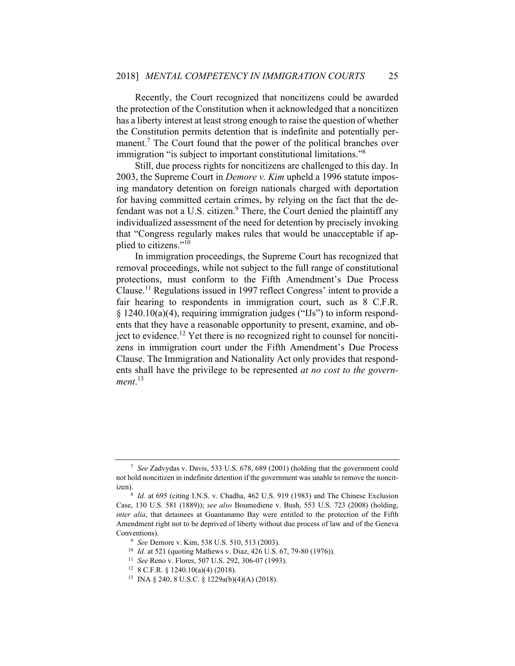Recently, the Court recognized that noncitizens could be awarded the protection of the Constitution when it acknowledged that a noncitizen has a liberty interest at least strong enough to raise the question of whether the Constitution permits detention that is indefinite and potentially permanent.<sup>7</sup> The Court found that the power of the political branches over immigration "is subject to important constitutional limitations."8

Still, due process rights for noncitizens are challenged to this day. In 2003, the Supreme Court in *Demore v. Kim* upheld a 1996 statute imposing mandatory detention on foreign nationals charged with deportation for having committed certain crimes, by relying on the fact that the defendant was not a U.S. citizen. $9$  There, the Court denied the plaintiff any individualized assessment of the need for detention by precisely invoking that "Congress regularly makes rules that would be unacceptable if applied to citizens."<sup>10</sup>

In immigration proceedings, the Supreme Court has recognized that removal proceedings, while not subject to the full range of constitutional protections, must conform to the Fifth Amendment's Due Process Clause.11 Regulations issued in 1997 reflect Congress' intent to provide a fair hearing to respondents in immigration court, such as 8 C.F.R. § 1240.10(a)(4), requiring immigration judges ("IJs") to inform respondents that they have a reasonable opportunity to present, examine, and object to evidence.<sup>12</sup> Yet there is no recognized right to counsel for noncitizens in immigration court under the Fifth Amendment's Due Process Clause. The Immigration and Nationality Act only provides that respondents shall have the privilege to be represented *at no cost to the government*. 13

<sup>7</sup> *See* Zadvydas v. Davis, 533 U.S. 678, 689 (2001) (holding that the government could not hold noncitizen in indefinite detention if the government was unable to remove the noncitizen).<br><sup>8</sup> *Id.* at 695 (citing I.N.S. v. Chadha, 462 U.S. 919 (1983) and The Chinese Exclusion

Case, 130 U.S. 581 (1889)); *see also* Boumediene v. Bush, 553 U.S. 723 (2008) (holding, *inter alia*, that detainees at Guantanamo Bay were entitled to the protection of the Fifth Amendment right not to be deprived of liberty without due process of law and of the Geneva Conventions).<br><sup>9</sup> See Demore v. Kim, 538 U.S. 510, 513 (2003).<br><sup>10</sup> Id. at 521 (quoting Mathews v. Diaz, 426 U.S. 67, 79-80 (1976)).<br><sup>11</sup> See Reno v. Flores, 507 U.S. 292, 306-07 (1993).<br><sup>12</sup> 8 C.F.R. § 1240.10(a)(4) (2018

<sup>13</sup> INA § 240, 8 U.S.C. § 1229a(b)(4)(A) (2018).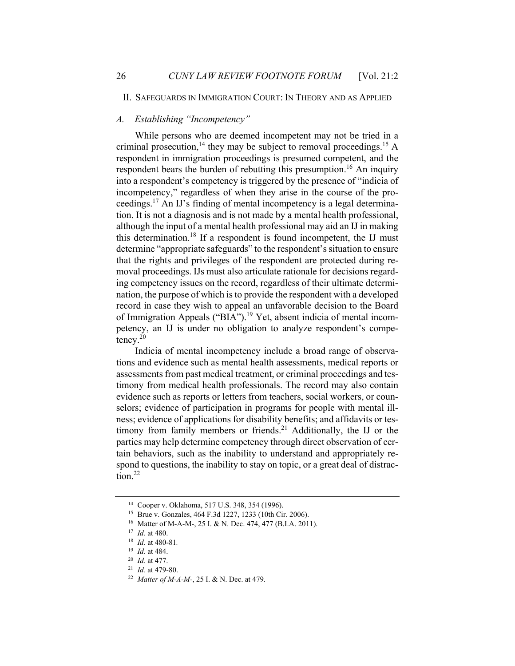#### II. SAFEGUARDS IN IMMIGRATION COURT: IN THEORY AND AS APPLIED

#### *A. Establishing "Incompetency"*

While persons who are deemed incompetent may not be tried in a criminal prosecution,<sup>14</sup> they may be subject to removal proceedings.<sup>15</sup> A respondent in immigration proceedings is presumed competent, and the respondent bears the burden of rebutting this presumption.<sup>16</sup> An inquiry into a respondent's competency is triggered by the presence of "indicia of incompetency," regardless of when they arise in the course of the proceedings.17 An IJ's finding of mental incompetency is a legal determination. It is not a diagnosis and is not made by a mental health professional, although the input of a mental health professional may aid an IJ in making this determination.18 If a respondent is found incompetent, the IJ must determine "appropriate safeguards" to the respondent's situation to ensure that the rights and privileges of the respondent are protected during removal proceedings. IJs must also articulate rationale for decisions regarding competency issues on the record, regardless of their ultimate determination, the purpose of which is to provide the respondent with a developed record in case they wish to appeal an unfavorable decision to the Board of Immigration Appeals ("BIA").<sup>19</sup> Yet, absent indicia of mental incompetency, an IJ is under no obligation to analyze respondent's competency.20

Indicia of mental incompetency include a broad range of observations and evidence such as mental health assessments, medical reports or assessments from past medical treatment, or criminal proceedings and testimony from medical health professionals. The record may also contain evidence such as reports or letters from teachers, social workers, or counselors; evidence of participation in programs for people with mental illness; evidence of applications for disability benefits; and affidavits or testimony from family members or friends.<sup>21</sup> Additionally, the IJ or the parties may help determine competency through direct observation of certain behaviors, such as the inability to understand and appropriately respond to questions, the inability to stay on topic, or a great deal of distraction.<sup>22</sup>

<sup>14</sup> Cooper v. Oklahoma, 517 U.S. 348, 354 (1996).

<sup>&</sup>lt;sup>15</sup> Brue v. Gonzales, 464 F.3d 1227, 1233 (10th Cir. 2006).<br><sup>16</sup> Matter of M-A-M-, 25 I. & N. Dec. 474, 477 (B.I.A. 2011).<br><sup>17</sup> *Id.* at 480.<br><sup>18</sup> *Id.* at 480-81.

<sup>19</sup> *Id.* at 484. 20 *Id.* at 477. 21 *Id.* at 479-80. 22 *Matter of M-A-M-*, 25 I. & N. Dec. at 479.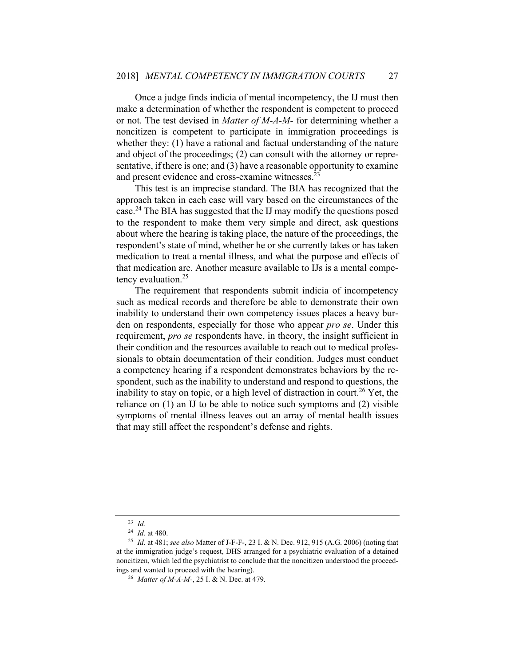Once a judge finds indicia of mental incompetency, the IJ must then make a determination of whether the respondent is competent to proceed or not. The test devised in *Matter of M-A-M-* for determining whether a noncitizen is competent to participate in immigration proceedings is whether they: (1) have a rational and factual understanding of the nature and object of the proceedings; (2) can consult with the attorney or representative, if there is one; and (3) have a reasonable opportunity to examine and present evidence and cross-examine witnesses.<sup>23</sup>

This test is an imprecise standard. The BIA has recognized that the approach taken in each case will vary based on the circumstances of the case.24 The BIA has suggested that the IJ may modify the questions posed to the respondent to make them very simple and direct, ask questions about where the hearing is taking place, the nature of the proceedings, the respondent's state of mind, whether he or she currently takes or has taken medication to treat a mental illness, and what the purpose and effects of that medication are. Another measure available to IJs is a mental competency evaluation.<sup>25</sup>

The requirement that respondents submit indicia of incompetency such as medical records and therefore be able to demonstrate their own inability to understand their own competency issues places a heavy burden on respondents, especially for those who appear *pro se*. Under this requirement, *pro se* respondents have, in theory, the insight sufficient in their condition and the resources available to reach out to medical professionals to obtain documentation of their condition. Judges must conduct a competency hearing if a respondent demonstrates behaviors by the respondent, such as the inability to understand and respond to questions, the inability to stay on topic, or a high level of distraction in court.<sup>26</sup> Yet, the reliance on (1) an IJ to be able to notice such symptoms and (2) visible symptoms of mental illness leaves out an array of mental health issues that may still affect the respondent's defense and rights.

<sup>23</sup> *Id.*

<sup>24</sup> *Id.* at 480. 25 *Id.* at 481; *see also* Matter of J-F-F-, 23 I. & N. Dec. 912, 915 (A.G. 2006) (noting that at the immigration judge's request, DHS arranged for a psychiatric evaluation of a detained noncitizen, which led the psychiatrist to conclude that the noncitizen understood the proceedings and wanted to proceed with the hearing). 26 *Matter of M-A-M-*, 25 I. & N. Dec. at 479.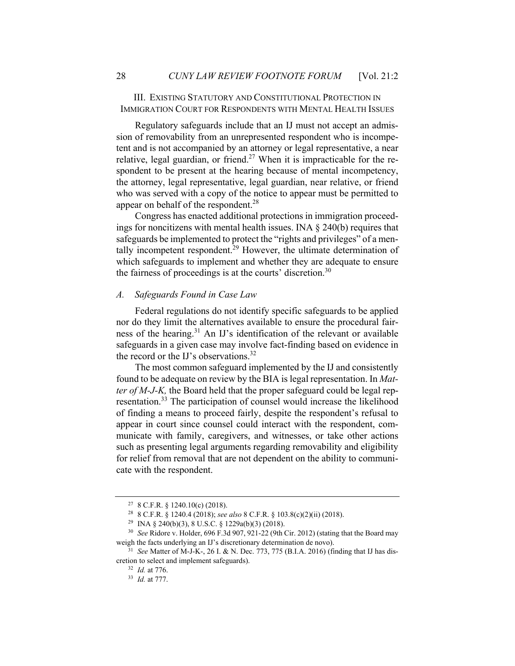### III. EXISTING STATUTORY AND CONSTITUTIONAL PROTECTION IN IMMIGRATION COURT FOR RESPONDENTS WITH MENTAL HEALTH ISSUES

Regulatory safeguards include that an IJ must not accept an admission of removability from an unrepresented respondent who is incompetent and is not accompanied by an attorney or legal representative, a near relative, legal guardian, or friend.<sup>27</sup> When it is impracticable for the respondent to be present at the hearing because of mental incompetency, the attorney, legal representative, legal guardian, near relative, or friend who was served with a copy of the notice to appear must be permitted to appear on behalf of the respondent.<sup>28</sup>

Congress has enacted additional protections in immigration proceedings for noncitizens with mental health issues. INA  $\S$  240(b) requires that safeguards be implemented to protect the "rights and privileges" of a mentally incompetent respondent.<sup>29</sup> However, the ultimate determination of which safeguards to implement and whether they are adequate to ensure the fairness of proceedings is at the courts' discretion.<sup>30</sup>

#### *A. Safeguards Found in Case Law*

Federal regulations do not identify specific safeguards to be applied nor do they limit the alternatives available to ensure the procedural fairness of the hearing.<sup>31</sup> An IJ's identification of the relevant or available safeguards in a given case may involve fact-finding based on evidence in the record or the IJ's observations.<sup>32</sup>

The most common safeguard implemented by the IJ and consistently found to be adequate on review by the BIA is legal representation. In *Matter of M-J-K,* the Board held that the proper safeguard could be legal representation.33 The participation of counsel would increase the likelihood of finding a means to proceed fairly, despite the respondent's refusal to appear in court since counsel could interact with the respondent, communicate with family, caregivers, and witnesses, or take other actions such as presenting legal arguments regarding removability and eligibility for relief from removal that are not dependent on the ability to communicate with the respondent.

<sup>&</sup>lt;sup>27</sup> 8 C.F.R. § 1240.10(c) (2018).

<sup>28 8</sup> C.F.R. § 1240.4 (2018); *see also* 8 C.F.R. § 103.8(c)(2)(ii) (2018). 29 INA § 240(b)(3), 8 U.S.C. § 1229a(b)(3) (2018).

<sup>30</sup> *See* Ridore v. Holder, 696 F.3d 907, 921-22 (9th Cir. 2012) (stating that the Board may weigh the facts underlying an IJ's discretionary determination de novo).<br><sup>31</sup> *See* Matter of M-J-K-, 26 I. & N. Dec. 773, 775 (B.I.A. 2016) (finding that IJ has dis-

cretion to select and implement safeguards). 32 *Id.* at 776. 33 *Id.* at 777.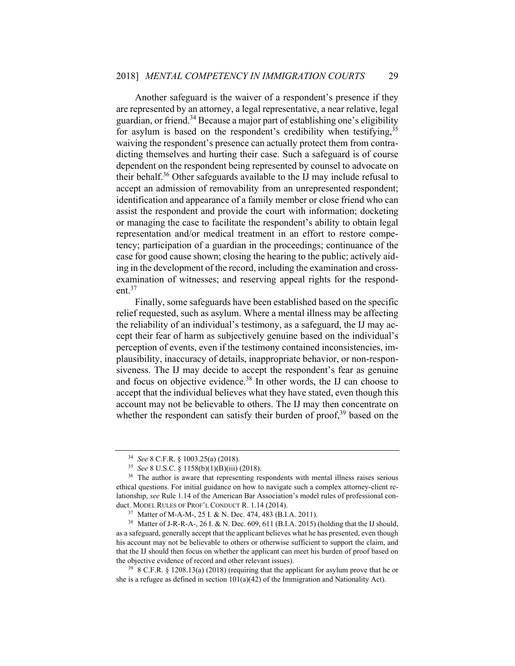Another safeguard is the waiver of a respondent's presence if they are represented by an attorney, a legal representative, a near relative, legal guardian, or friend.<sup>34</sup> Because a major part of establishing one's eligibility for asylum is based on the respondent's credibility when testifying,  $35$ waiving the respondent's presence can actually protect them from contradicting themselves and hurting their case. Such a safeguard is of course dependent on the respondent being represented by counsel to advocate on their behalf.<sup>36</sup> Other safeguards available to the IJ may include refusal to accept an admission of removability from an unrepresented respondent; identification and appearance of a family member or close friend who can assist the respondent and provide the court with information; docketing or managing the case to facilitate the respondent's ability to obtain legal representation and/or medical treatment in an effort to restore competency; participation of a guardian in the proceedings; continuance of the case for good cause shown; closing the hearing to the public; actively aiding in the development of the record, including the examination and crossexamination of witnesses; and reserving appeal rights for the respondent.<sup>37</sup>

Finally, some safeguards have been established based on the specific relief requested, such as asylum. Where a mental illness may be affecting the reliability of an individual's testimony, as a safeguard, the IJ may accept their fear of harm as subjectively genuine based on the individual's perception of events, even if the testimony contained inconsistencies, implausibility, inaccuracy of details, inappropriate behavior, or non-responsiveness. The IJ may decide to accept the respondent's fear as genuine and focus on objective evidence.<sup>38</sup> In other words, the IJ can choose to accept that the individual believes what they have stated, even though this account may not be believable to others. The IJ may then concentrate on whether the respondent can satisfy their burden of proof, $39$  based on the

<sup>34</sup> *See* 8 C.F.R. § 1003.25(a) (2018). 35 *See* 8 U.S.C. § 1158(b)(1)(B)(iii) (2018). 36 The author is aware that representing respondents with mental illness raises serious ethical questions. For initial guidance on how to navigate such a complex attorney-client relationship, *see* Rule 1.14 of the American Bar Association's model rules of professional conduct. MODEL RULES OF PROF'L CONDUCT R. 1.14 (2014).<br><sup>37</sup> Matter of M-A-M-, 25 I. & N. Dec. 474, 483 (B.I.A. 2011).<br><sup>38</sup> Matter of J-R-R-A-, 26 I. & N. Dec. 609, 611 (B.I.A. 2015) (holding that the IJ should,

as a safeguard, generally accept that the applicant believes what he has presented, even though his account may not be believable to others or otherwise sufficient to support the claim, and that the IJ should then focus on whether the applicant can meet his burden of proof based on the objective evidence of record and other relevant issues).<br><sup>39</sup> 8 C.F.R. § 1208.13(a) (2018) (requiring that the applicant for asylum prove that he or

she is a refugee as defined in section  $101(a)(42)$  of the Immigration and Nationality Act).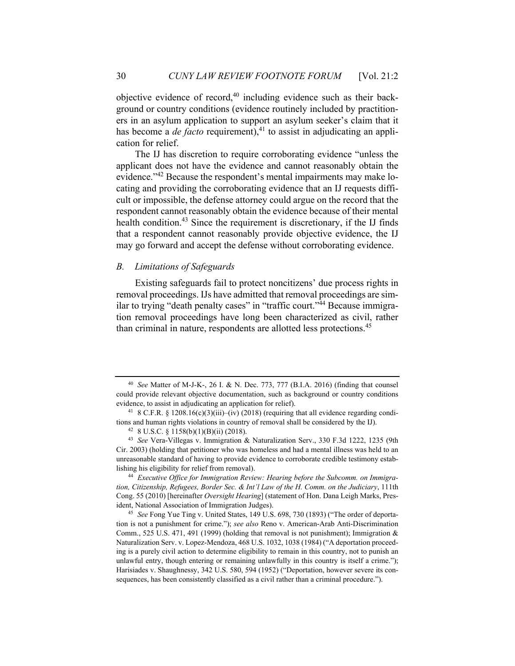objective evidence of record,<sup>40</sup> including evidence such as their background or country conditions (evidence routinely included by practitioners in an asylum application to support an asylum seeker's claim that it has become a *de facto* requirement),<sup>41</sup> to assist in adjudicating an application for relief.

The IJ has discretion to require corroborating evidence "unless the applicant does not have the evidence and cannot reasonably obtain the evidence."42 Because the respondent's mental impairments may make locating and providing the corroborating evidence that an IJ requests difficult or impossible, the defense attorney could argue on the record that the respondent cannot reasonably obtain the evidence because of their mental health condition.<sup>43</sup> Since the requirement is discretionary, if the IJ finds that a respondent cannot reasonably provide objective evidence, the IJ may go forward and accept the defense without corroborating evidence.

#### *B. Limitations of Safeguards*

Existing safeguards fail to protect noncitizens' due process rights in removal proceedings. IJs have admitted that removal proceedings are similar to trying "death penalty cases" in "traffic court."<sup>44</sup> Because immigration removal proceedings have long been characterized as civil, rather than criminal in nature, respondents are allotted less protections.<sup>45</sup>

*tion, Citizenship, Refugees, Border Sec. & Int'l Law of the H. Comm. on the Judiciary*, 111th Cong. 55 (2010) [hereinafter *Oversight Hearing*] (statement of Hon. Dana Leigh Marks, President, National Association of Immigration Judges). 45 *See* Fong Yue Ting v. United States, 149 U.S. 698, 730 (1893) ("The order of deporta-

<sup>40</sup> *See* Matter of M-J-K-, 26 I. & N. Dec. 773, 777 (B.I.A. 2016) (finding that counsel could provide relevant objective documentation, such as background or country conditions evidence, to assist in adjudicating an application for relief).

<sup>&</sup>lt;sup>41</sup> 8 C.F.R. § 1208.16(c)(3)(iii)–(iv) (2018) (requiring that all evidence regarding conditions and human rights violations in country of removal shall be considered by the IJ).  $^{42}$  8 U.S.C. § 1158(b)(1)(B)(ii) (2018).

<sup>43</sup> *See* Vera-Villegas v. Immigration & Naturalization Serv., 330 F.3d 1222, 1235 (9th Cir. 2003) (holding that petitioner who was homeless and had a mental illness was held to an unreasonable standard of having to provide evidence to corroborate credible testimony establishing his eligibility for relief from removal). 44 *Executive Office for Immigration Review: Hearing before the Subcomm. on Immigra-*

tion is not a punishment for crime."); *see also* Reno v. American-Arab Anti-Discrimination Comm., 525 U.S. 471, 491 (1999) (holding that removal is not punishment); Immigration  $\&$ Naturalization Serv. v. Lopez-Mendoza, 468 U.S. 1032, 1038 (1984) ("A deportation proceeding is a purely civil action to determine eligibility to remain in this country, not to punish an unlawful entry, though entering or remaining unlawfully in this country is itself a crime."); Harisiades v. Shaughnessy, 342 U.S. 580, 594 (1952) ("Deportation, however severe its consequences, has been consistently classified as a civil rather than a criminal procedure.").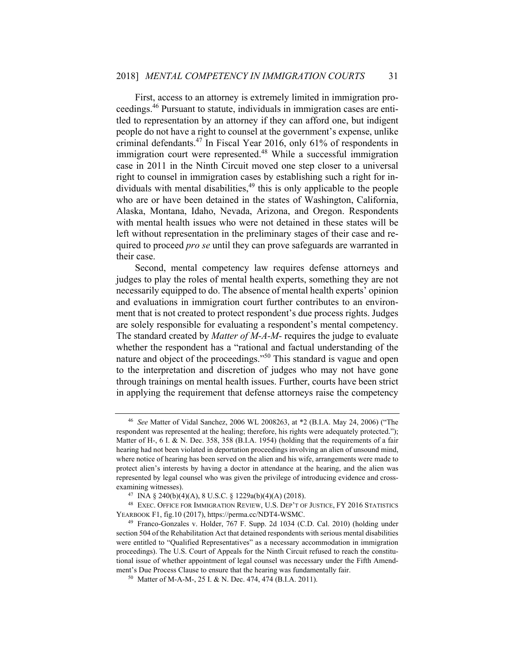First, access to an attorney is extremely limited in immigration proceedings.46 Pursuant to statute, individuals in immigration cases are entitled to representation by an attorney if they can afford one, but indigent people do not have a right to counsel at the government's expense, unlike criminal defendants.47 In Fiscal Year 2016, only 61% of respondents in immigration court were represented.<sup>48</sup> While a successful immigration case in 2011 in the Ninth Circuit moved one step closer to a universal right to counsel in immigration cases by establishing such a right for individuals with mental disabilities,  $49$  this is only applicable to the people who are or have been detained in the states of Washington, California, Alaska, Montana, Idaho, Nevada, Arizona, and Oregon. Respondents with mental health issues who were not detained in these states will be left without representation in the preliminary stages of their case and required to proceed *pro se* until they can prove safeguards are warranted in their case.

Second, mental competency law requires defense attorneys and judges to play the roles of mental health experts, something they are not necessarily equipped to do. The absence of mental health experts' opinion and evaluations in immigration court further contributes to an environment that is not created to protect respondent's due process rights. Judges are solely responsible for evaluating a respondent's mental competency. The standard created by *Matter of M-A-M-* requires the judge to evaluate whether the respondent has a "rational and factual understanding of the nature and object of the proceedings."50 This standard is vague and open to the interpretation and discretion of judges who may not have gone through trainings on mental health issues. Further, courts have been strict in applying the requirement that defense attorneys raise the competency

<sup>46</sup> *See* Matter of Vidal Sanchez, 2006 WL 2008263, at \*2 (B.I.A. May 24, 2006) ("The respondent was represented at the healing; therefore, his rights were adequately protected."); Matter of H-,  $6$  I. & N. Dec. 358, 358 (B.I.A. 1954) (holding that the requirements of a fair hearing had not been violated in deportation proceedings involving an alien of unsound mind, where notice of hearing has been served on the alien and his wife, arrangements were made to protect alien's interests by having a doctor in attendance at the hearing, and the alien was represented by legal counsel who was given the privilege of introducing evidence and crossexamining witnesses).<br><sup>47</sup> INA § 240(b)(4)(A), 8 U.S.C. § 1229a(b)(4)(A) (2018).

<sup>48</sup> EXEC. OFFICE FOR IMMIGRATION REVIEW, U.S. DEP'T OF JUSTICE, FY 2016 STATISTICS YEARBOOK F1, fig.10 (2017), https://perma.cc/NDT4-WSMC. 49 Franco-Gonzales v. Holder, 767 F. Supp. 2d 1034 (C.D. Cal. 2010) (holding under

section 504 of the Rehabilitation Act that detained respondents with serious mental disabilities were entitled to "Qualified Representatives" as a necessary accommodation in immigration proceedings). The U.S. Court of Appeals for the Ninth Circuit refused to reach the constitutional issue of whether appointment of legal counsel was necessary under the Fifth Amendment's Due Process Clause to ensure that the hearing was fundamentally fair. <sup>50</sup> Matter of M-A-M-, 25 I. & N. Dec. 474, 474 (B.I.A. 2011).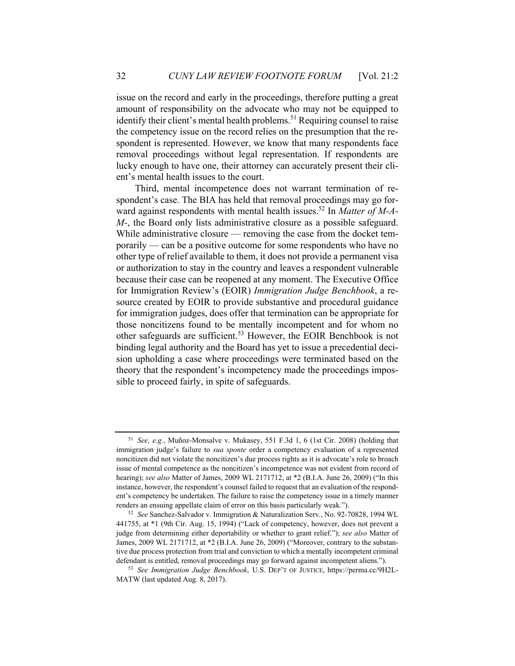issue on the record and early in the proceedings, therefore putting a great amount of responsibility on the advocate who may not be equipped to identify their client's mental health problems.<sup>51</sup> Requiring counsel to raise the competency issue on the record relies on the presumption that the respondent is represented. However, we know that many respondents face removal proceedings without legal representation. If respondents are lucky enough to have one, their attorney can accurately present their client's mental health issues to the court.

Third, mental incompetence does not warrant termination of respondent's case. The BIA has held that removal proceedings may go forward against respondents with mental health issues.<sup>52</sup> In *Matter of M-A-M-*, the Board only lists administrative closure as a possible safeguard. While administrative closure — removing the case from the docket temporarily — can be a positive outcome for some respondents who have no other type of relief available to them, it does not provide a permanent visa or authorization to stay in the country and leaves a respondent vulnerable because their case can be reopened at any moment. The Executive Office for Immigration Review's (EOIR) *Immigration Judge Benchbook*, a resource created by EOIR to provide substantive and procedural guidance for immigration judges, does offer that termination can be appropriate for those noncitizens found to be mentally incompetent and for whom no other safeguards are sufficient.<sup>53</sup> However, the EOIR Benchbook is not binding legal authority and the Board has yet to issue a precedential decision upholding a case where proceedings were terminated based on the theory that the respondent's incompetency made the proceedings impossible to proceed fairly, in spite of safeguards.

<sup>51</sup> *See, e.g.*, Muñoz-Monsalve v. Mukasey, 551 F.3d 1, 6 (1st Cir. 2008) (holding that immigration judge's failure to *sua sponte* order a competency evaluation of a represented noncitizen did not violate the noncitizen's due process rights as it is advocate's role to broach issue of mental competence as the noncitizen's incompetence was not evident from record of hearing); *see also* Matter of James, 2009 WL 2171712, at \*2 (B.I.A. June 26, 2009) ("In this instance, however, the respondent's counsel failed to request that an evaluation of the respondent's competency be undertaken. The failure to raise the competency issue in a timely manner renders an ensuing appellate claim of error on this basis particularly weak."). 52 *See* Sanchez-Salvador v. Immigration & Naturalization Serv*.*, No. 92-70828, 1994 WL

<sup>441755,</sup> at \*1 (9th Cir. Aug. 15, 1994) ("Lack of competency, however, does not prevent a judge from determining either deportability or whether to grant relief."); *see also* Matter of James, 2009 WL 2171712, at \*2 (B.I.A. June 26, 2009) ("Moreover, contrary to the substantive due process protection from trial and conviction to which a mentally incompetent criminal defendant is entitled, removal proceedings may go forward against incompetent aliens."). 53 *See Immigration Judge Benchbook*, U.S. DEP'T OF JUSTICE, https://perma.cc/9H2L-

MATW (last updated Aug. 8, 2017).